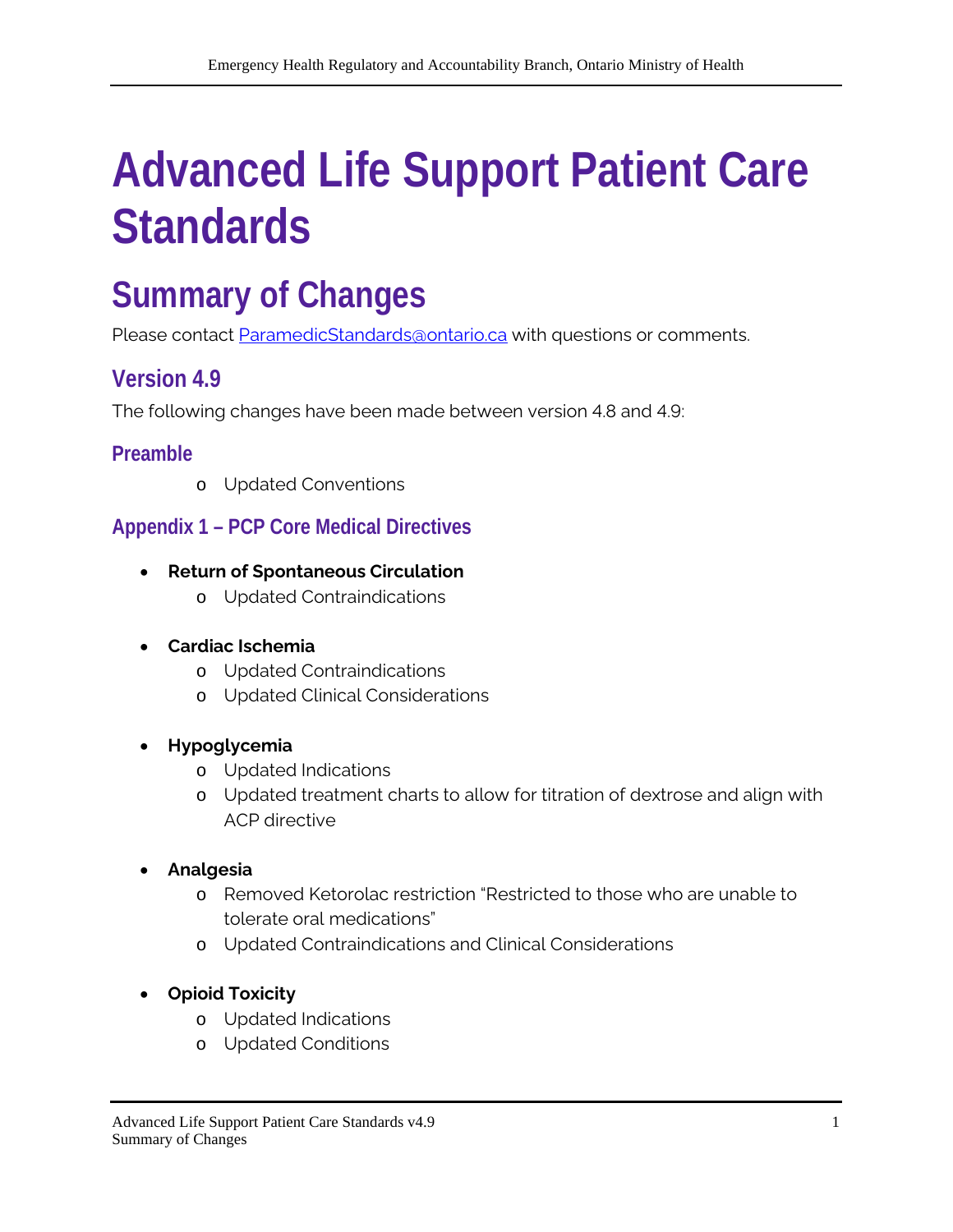# **Advanced Life Support Patient Care Standards**

# **Summary of Changes**

Please contact [ParamedicStandards@ontario.ca](mailto:ParamedicStandards@ontario.ca) with questions or comments.

# **Version 4.9**

The following changes have been made between version 4.8 and 4.9:

## **Preamble**

o Updated Conventions

# **Appendix 1 – PCP Core Medical Directives**

- **Return of Spontaneous Circulation** 
	- o Updated Contraindications
- **Cardiac Ischemia** 
	- o Updated Contraindications
	- o Updated Clinical Considerations

#### • **Hypoglycemia**

- o Updated Indications
- o Updated treatment charts to allow for titration of dextrose and align with ACP directive

#### • **Analgesia**

- o Removed Ketorolac restriction "Restricted to those who are unable to tolerate oral medications"
- o Updated Contraindications and Clinical Considerations
- **Opioid Toxicity** 
	- o Updated Indications
	- o Updated Conditions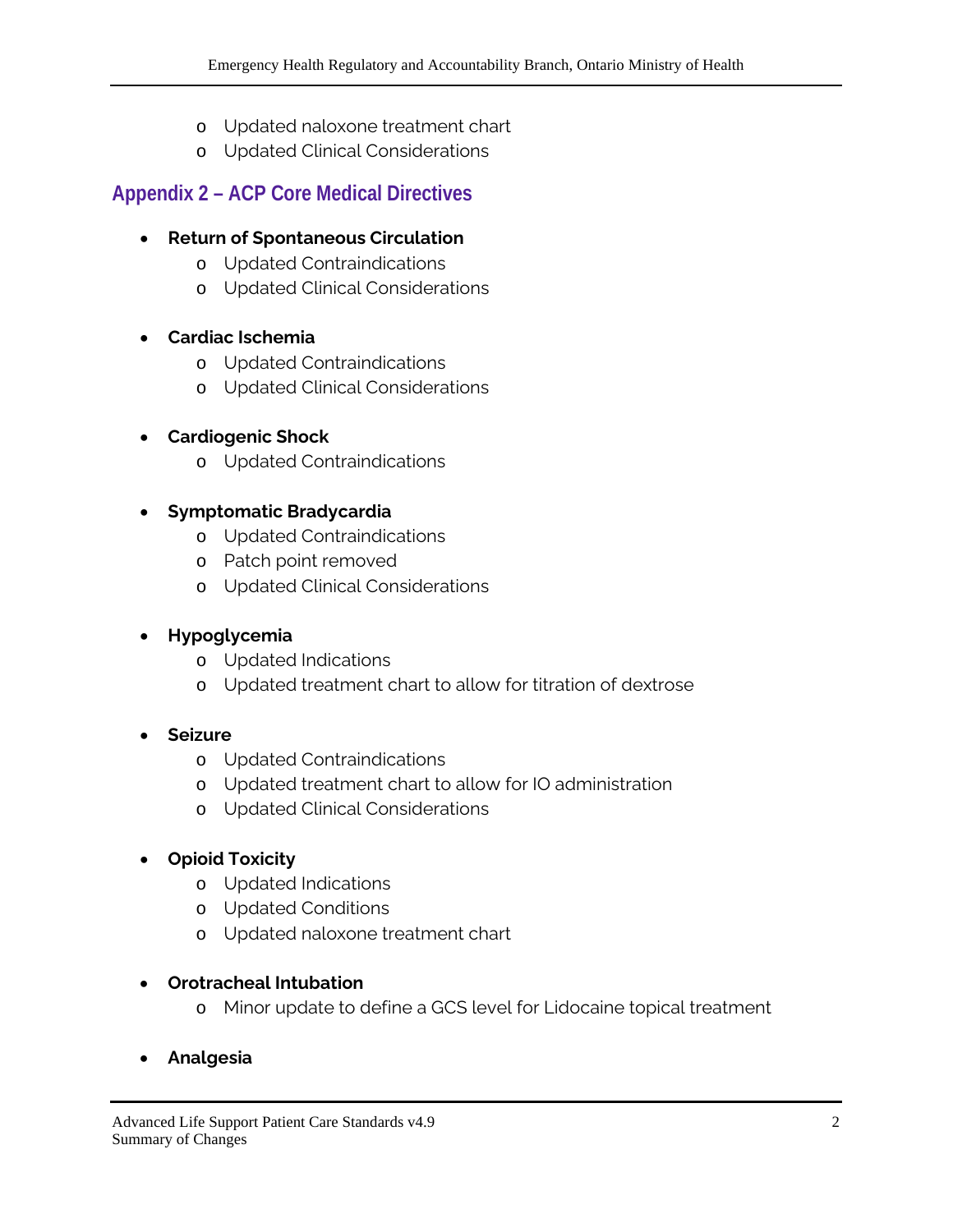- o Updated naloxone treatment chart
- o Updated Clinical Considerations

## **Appendix 2 – ACP Core Medical Directives**

#### • **Return of Spontaneous Circulation**

- o Updated Contraindications
- o Updated Clinical Considerations

#### • **Cardiac Ischemia**

- o Updated Contraindications
- o Updated Clinical Considerations

#### • **Cardiogenic Shock**

o Updated Contraindications

#### • **Symptomatic Bradycardia**

- o Updated Contraindications
- o Patch point removed
- o Updated Clinical Considerations

#### • **Hypoglycemia**

- o Updated Indications
- o Updated treatment chart to allow for titration of dextrose

#### • **Seizure**

- o Updated Contraindications
- o Updated treatment chart to allow for IO administration
- o Updated Clinical Considerations

#### • **Opioid Toxicity**

- o Updated Indications
- o Updated Conditions
- o Updated naloxone treatment chart

#### • **Orotracheal Intubation**

- o Minor update to define a GCS level for Lidocaine topical treatment
- **Analgesia**